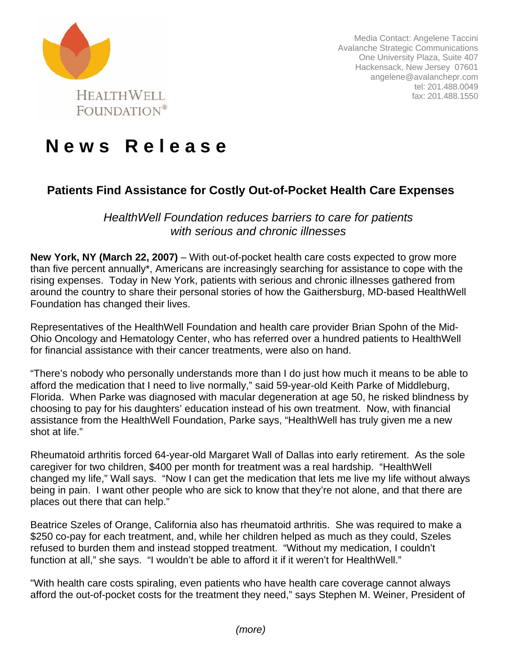

Media Contact: Angelene Taccini Avalanche Strategic Communications One University Plaza, Suite 407 Hackensack, New Jersey 07601 angelene@avalanchepr.com tel: 201.488.0049 fax: 201.488.1550

## **N e w s R e l e a s e**

## **Patients Find Assistance for Costly Out-of-Pocket Health Care Expenses**

*HealthWell Foundation reduces barriers to care for patients with serious and chronic illnesses* 

**New York, NY (March 22, 2007)** – With out-of-pocket health care costs expected to grow more than five percent annually\*, Americans are increasingly searching for assistance to cope with the rising expenses. Today in New York, patients with serious and chronic illnesses gathered from around the country to share their personal stories of how the Gaithersburg, MD-based HealthWell Foundation has changed their lives.

Representatives of the HealthWell Foundation and health care provider Brian Spohn of the Mid-Ohio Oncology and Hematology Center, who has referred over a hundred patients to HealthWell for financial assistance with their cancer treatments, were also on hand.

"There's nobody who personally understands more than I do just how much it means to be able to afford the medication that I need to live normally," said 59-year-old Keith Parke of Middleburg, Florida. When Parke was diagnosed with macular degeneration at age 50, he risked blindness by choosing to pay for his daughters' education instead of his own treatment. Now, with financial assistance from the HealthWell Foundation, Parke says, "HealthWell has truly given me a new shot at life."

Rheumatoid arthritis forced 64-year-old Margaret Wall of Dallas into early retirement. As the sole caregiver for two children, \$400 per month for treatment was a real hardship. "HealthWell changed my life," Wall says. "Now I can get the medication that lets me live my life without always being in pain. I want other people who are sick to know that they're not alone, and that there are places out there that can help."

Beatrice Szeles of Orange, California also has rheumatoid arthritis. She was required to make a \$250 co-pay for each treatment, and, while her children helped as much as they could, Szeles refused to burden them and instead stopped treatment. "Without my medication, I couldn't function at all," she says. "I wouldn't be able to afford it if it weren't for HealthWell."

"With health care costs spiraling, even patients who have health care coverage cannot always afford the out-of-pocket costs for the treatment they need," says Stephen M. Weiner, President of